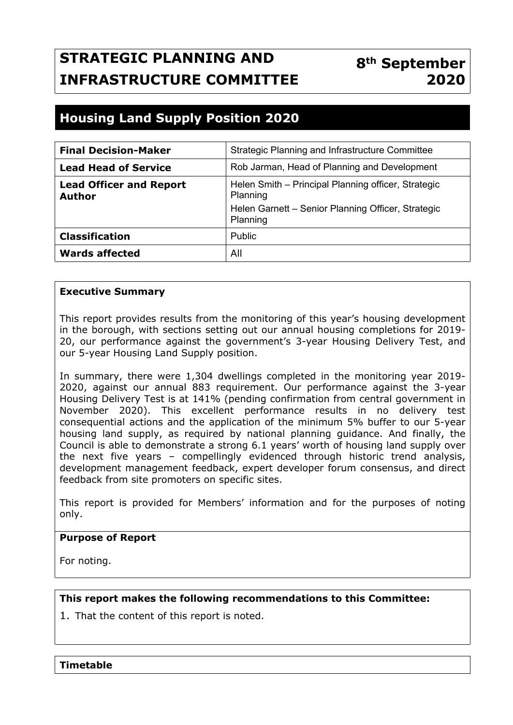# **STRATEGIC PLANNING AND INFRASTRUCTURE COMMITTEE**

## **8th September 2020**

## **Housing Land Supply Position 2020**

| <b>Final Decision-Maker</b>                     | Strategic Planning and Infrastructure Committee                 |  |  |
|-------------------------------------------------|-----------------------------------------------------------------|--|--|
| <b>Lead Head of Service</b>                     | Rob Jarman, Head of Planning and Development                    |  |  |
| <b>Lead Officer and Report</b><br><b>Author</b> | Helen Smith - Principal Planning officer, Strategic<br>Planning |  |  |
|                                                 | Helen Garnett - Senior Planning Officer, Strategic<br>Planning  |  |  |
| <b>Classification</b>                           | Public                                                          |  |  |
| <b>Wards affected</b>                           | All                                                             |  |  |

#### **Executive Summary**

This report provides results from the monitoring of this year's housing development in the borough, with sections setting out our annual housing completions for 2019- 20, our performance against the government's 3-year Housing Delivery Test, and our 5-year Housing Land Supply position.

In summary, there were 1,304 dwellings completed in the monitoring year 2019- 2020, against our annual 883 requirement. Our performance against the 3-year Housing Delivery Test is at 141% (pending confirmation from central government in November 2020). This excellent performance results in no delivery test consequential actions and the application of the minimum 5% buffer to our 5-year housing land supply, as required by national planning guidance. And finally, the Council is able to demonstrate a strong 6.1 years' worth of housing land supply over the next five years – compellingly evidenced through historic trend analysis, development management feedback, expert developer forum consensus, and direct feedback from site promoters on specific sites.

This report is provided for Members' information and for the purposes of noting only.

#### **Purpose of Report**

For noting.

#### **This report makes the following recommendations to this Committee:**

1. That the content of this report is noted.

**Timetable**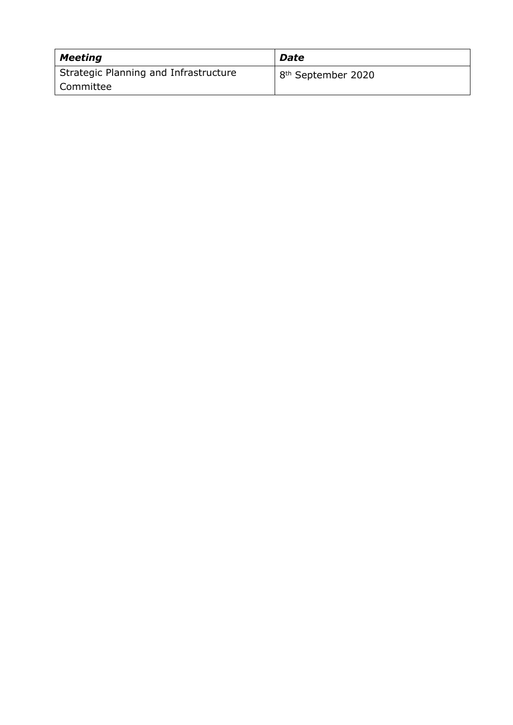| <b>Meeting</b>                        | <b>Date</b>                    |
|---------------------------------------|--------------------------------|
| Strategic Planning and Infrastructure | 8 <sup>th</sup> September 2020 |
| Committee                             |                                |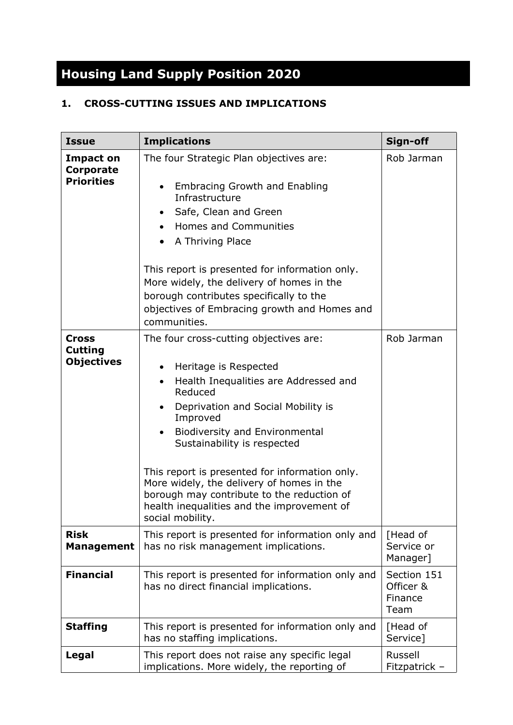# **Housing Land Supply Position 2020**

### **1. CROSS-CUTTING ISSUES AND IMPLICATIONS**

| <b>Issue</b>                                        | <b>Implications</b>                                                                                                                                                                                                                                                                                                                                                                                                                                                                                 |                                             |
|-----------------------------------------------------|-----------------------------------------------------------------------------------------------------------------------------------------------------------------------------------------------------------------------------------------------------------------------------------------------------------------------------------------------------------------------------------------------------------------------------------------------------------------------------------------------------|---------------------------------------------|
| Impact on<br>Corporate<br><b>Priorities</b>         | The four Strategic Plan objectives are:<br><b>Embracing Growth and Enabling</b><br>Infrastructure<br>Safe, Clean and Green<br><b>Homes and Communities</b><br>$\bullet$<br>A Thriving Place<br>This report is presented for information only.<br>More widely, the delivery of homes in the<br>borough contributes specifically to the<br>objectives of Embracing growth and Homes and<br>communities.                                                                                               | Rob Jarman                                  |
| <b>Cross</b><br><b>Cutting</b><br><b>Objectives</b> | The four cross-cutting objectives are:<br>Heritage is Respected<br>$\bullet$<br>Health Inequalities are Addressed and<br>$\bullet$<br>Reduced<br>Deprivation and Social Mobility is<br>$\bullet$<br>Improved<br><b>Biodiversity and Environmental</b><br>Sustainability is respected<br>This report is presented for information only.<br>More widely, the delivery of homes in the<br>borough may contribute to the reduction of<br>health inequalities and the improvement of<br>social mobility. | Rob Jarman                                  |
| <b>Risk</b><br><b>Management</b>                    | This report is presented for information only and<br>has no risk management implications.                                                                                                                                                                                                                                                                                                                                                                                                           | [Head of<br>Service or<br>Manager]          |
| <b>Financial</b>                                    | This report is presented for information only and<br>has no direct financial implications.                                                                                                                                                                                                                                                                                                                                                                                                          | Section 151<br>Officer &<br>Finance<br>Team |
| <b>Staffing</b>                                     | This report is presented for information only and<br>has no staffing implications.                                                                                                                                                                                                                                                                                                                                                                                                                  | [Head of<br>Service]                        |
| Legal                                               | This report does not raise any specific legal<br>implications. More widely, the reporting of                                                                                                                                                                                                                                                                                                                                                                                                        |                                             |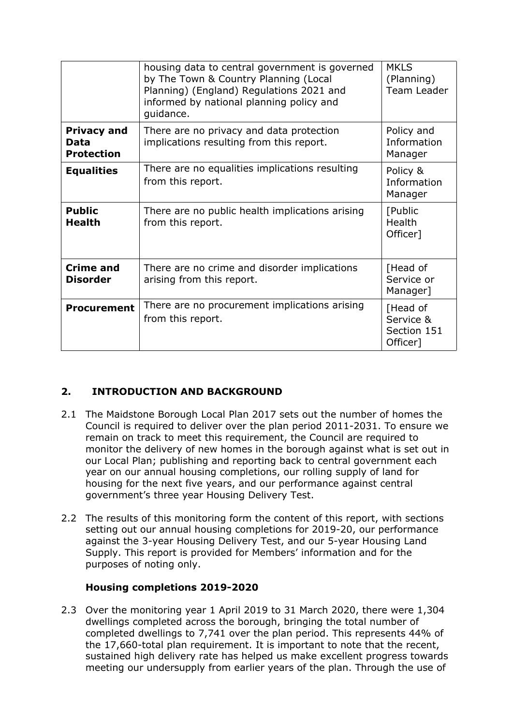| housing data to central government is governed<br>by The Town & Country Planning (Local<br>Planning) (England) Regulations 2021 and<br>informed by national planning policy and<br>quidance. |                                                                                      | <b>MKLS</b><br>(Planning)<br>Team Leader         |
|----------------------------------------------------------------------------------------------------------------------------------------------------------------------------------------------|--------------------------------------------------------------------------------------|--------------------------------------------------|
| <b>Privacy and</b><br>Data<br><b>Protection</b>                                                                                                                                              | There are no privacy and data protection<br>implications resulting from this report. |                                                  |
| <b>Equalities</b>                                                                                                                                                                            | There are no equalities implications resulting<br>from this report.                  |                                                  |
| <b>Public</b><br><b>Health</b>                                                                                                                                                               | There are no public health implications arising<br>from this report.                 |                                                  |
| <b>Crime and</b><br><b>Disorder</b>                                                                                                                                                          | There are no crime and disorder implications<br>arising from this report.            |                                                  |
| There are no procurement implications arising<br><b>Procurement</b><br>from this report.                                                                                                     |                                                                                      | [Head of<br>Service &<br>Section 151<br>Officer] |

#### **2. INTRODUCTION AND BACKGROUND**

- 2.1 The Maidstone Borough Local Plan 2017 sets out the number of homes the Council is required to deliver over the plan period 2011-2031. To ensure we remain on track to meet this requirement, the Council are required to monitor the delivery of new homes in the borough against what is set out in our Local Plan; publishing and reporting back to central government each year on our annual housing completions, our rolling supply of land for housing for the next five years, and our performance against central government's three year Housing Delivery Test.
- 2.2 The results of this monitoring form the content of this report, with sections setting out our annual housing completions for 2019-20, our performance against the 3-year Housing Delivery Test, and our 5-year Housing Land Supply. This report is provided for Members' information and for the purposes of noting only.

#### **Housing completions 2019-2020**

2.3 Over the monitoring year 1 April 2019 to 31 March 2020, there were 1,304 dwellings completed across the borough, bringing the total number of completed dwellings to 7,741 over the plan period. This represents 44% of the 17,660-total plan requirement. It is important to note that the recent, sustained high delivery rate has helped us make excellent progress towards meeting our undersupply from earlier years of the plan. Through the use of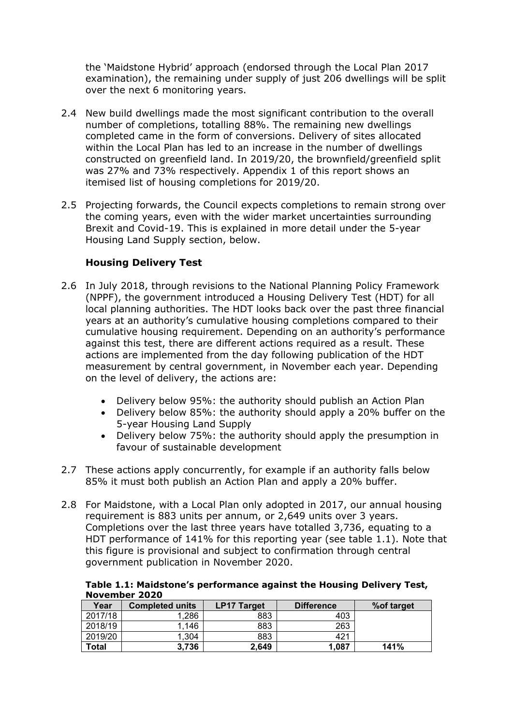the 'Maidstone Hybrid' approach (endorsed through the Local Plan 2017 examination), the remaining under supply of just 206 dwellings will be split over the next 6 monitoring years.

- 2.4 New build dwellings made the most significant contribution to the overall number of completions, totalling 88%. The remaining new dwellings completed came in the form of conversions. Delivery of sites allocated within the Local Plan has led to an increase in the number of dwellings constructed on greenfield land. In 2019/20, the brownfield/greenfield split was 27% and 73% respectively. Appendix 1 of this report shows an itemised list of housing completions for 2019/20.
- 2.5 Projecting forwards, the Council expects completions to remain strong over the coming years, even with the wider market uncertainties surrounding Brexit and Covid-19. This is explained in more detail under the 5-year Housing Land Supply section, below.

#### **Housing Delivery Test**

- 2.6 In July 2018, through revisions to the National Planning Policy Framework (NPPF), the government introduced a Housing Delivery Test (HDT) for all local planning authorities. The HDT looks back over the past three financial years at an authority's cumulative housing completions compared to their cumulative housing requirement. Depending on an authority's performance against this test, there are different actions required as a result. These actions are implemented from the day following publication of the HDT measurement by central government, in November each year. Depending on the level of delivery, the actions are:
	- Delivery below 95%: the authority should publish an Action Plan
	- Delivery below 85%: the authority should apply a 20% buffer on the 5-year Housing Land Supply
	- Delivery below 75%: the authority should apply the presumption in favour of sustainable development
- 2.7 These actions apply concurrently, for example if an authority falls below 85% it must both publish an Action Plan and apply a 20% buffer.
- 2.8 For Maidstone, with a Local Plan only adopted in 2017, our annual housing requirement is 883 units per annum, or 2,649 units over 3 years. Completions over the last three years have totalled 3,736, equating to a HDT performance of 141% for this reporting year (see table 1.1). Note that this figure is provisional and subject to confirmation through central government publication in November 2020.

|               | Table 1.1: Maidstone's performance against the Housing Delivery Test, |  |
|---------------|-----------------------------------------------------------------------|--|
| November 2020 |                                                                       |  |

| Year         | <b>Completed units</b> | <b>Difference</b><br><b>LP17 Target</b> |       | % of target |
|--------------|------------------------|-----------------------------------------|-------|-------------|
| 2017/18      | 1.286                  | 883                                     | 403   |             |
| 2018/19      | 1,146                  | 883                                     | 263   |             |
| 2019/20      | 1.304                  | 883                                     | 421   |             |
| <b>Total</b> | 3,736                  | 2,649                                   | 1,087 | 141%        |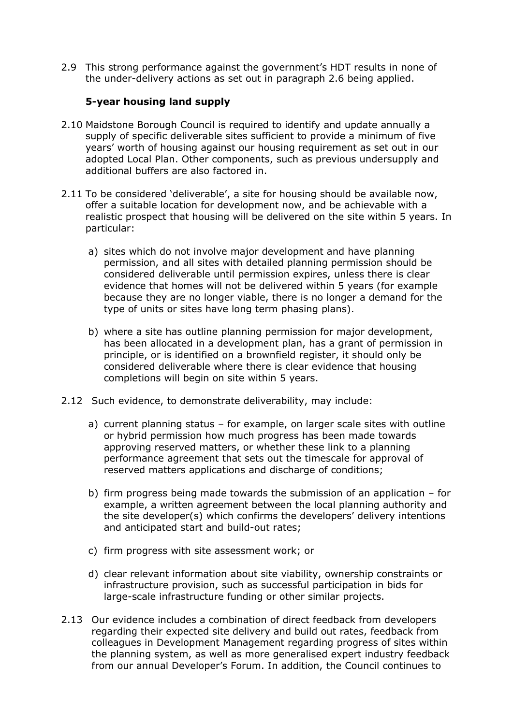2.9 This strong performance against the government's HDT results in none of the under-delivery actions as set out in paragraph 2.6 being applied.

#### **5-year housing land supply**

- 2.10 Maidstone Borough Council is required to identify and update annually a supply of specific deliverable sites sufficient to provide a minimum of five years' worth of housing against our housing requirement as set out in our adopted Local Plan. Other components, such as previous undersupply and additional buffers are also factored in.
- 2.11 To be considered 'deliverable', a site for housing should be available now, offer a suitable location for development now, and be achievable with a realistic prospect that housing will be delivered on the site within 5 years. In particular:
	- a) sites which do not involve major development and have planning permission, and all sites with detailed planning permission should be considered deliverable until permission expires, unless there is clear evidence that homes will not be delivered within 5 years (for example because they are no longer viable, there is no longer a demand for the type of units or sites have long term phasing plans).
	- b) where a site has outline planning permission for major development, has been allocated in a development plan, has a grant of permission in principle, or is identified on a brownfield register, it should only be considered deliverable where there is clear evidence that housing completions will begin on site within 5 years.
- 2.12 Such evidence, to demonstrate deliverability, may include:
	- a) current planning status for example, on larger scale sites with outline or hybrid permission how much progress has been made towards approving reserved matters, or whether these link to a planning performance agreement that sets out the timescale for approval of reserved matters applications and discharge of conditions;
	- b) firm progress being made towards the submission of an application for example, a written agreement between the local planning authority and the site developer(s) which confirms the developers' delivery intentions and anticipated start and build-out rates;
	- c) firm progress with site assessment work; or
	- d) clear relevant information about site viability, ownership constraints or infrastructure provision, such as successful participation in bids for large-scale infrastructure funding or other similar projects.
- 2.13 Our evidence includes a combination of direct feedback from developers regarding their expected site delivery and build out rates, feedback from colleagues in Development Management regarding progress of sites within the planning system, as well as more generalised expert industry feedback from our annual Developer's Forum. In addition, the Council continues to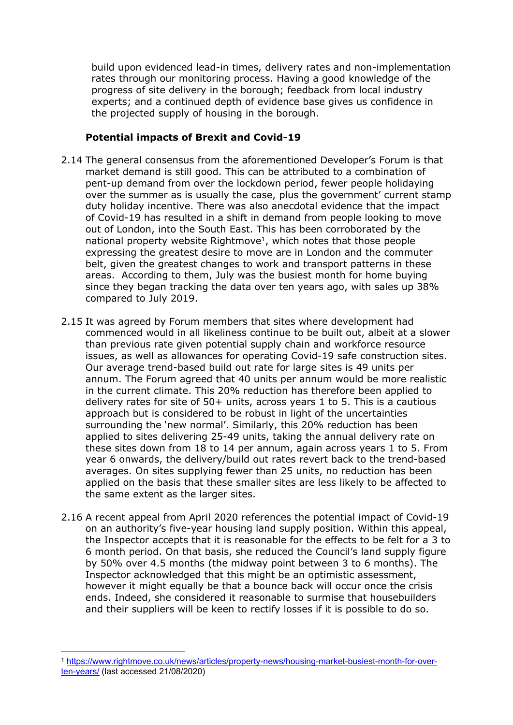build upon evidenced lead-in times, delivery rates and non-implementation rates through our monitoring process. Having a good knowledge of the progress of site delivery in the borough; feedback from local industry experts; and a continued depth of evidence base gives us confidence in the projected supply of housing in the borough.

#### **Potential impacts of Brexit and Covid-19**

- 2.14 The general consensus from the aforementioned Developer's Forum is that market demand is still good. This can be attributed to a combination of pent-up demand from over the lockdown period, fewer people holidaying over the summer as is usually the case, plus the government' current stamp duty holiday incentive. There was also anecdotal evidence that the impact of Covid-19 has resulted in a shift in demand from people looking to move out of London, into the South East. This has been corroborated by the national property website Rightmove<sup>1</sup>, which notes that those people expressing the greatest desire to move are in London and the commuter belt, given the greatest changes to work and transport patterns in these areas. According to them, July was the busiest month for home buying since they began tracking the data over ten years ago, with sales up 38% compared to July 2019.
- 2.15 It was agreed by Forum members that sites where development had commenced would in all likeliness continue to be built out, albeit at a slower than previous rate given potential supply chain and workforce resource issues, as well as allowances for operating Covid-19 safe construction sites. Our average trend-based build out rate for large sites is 49 units per annum. The Forum agreed that 40 units per annum would be more realistic in the current climate. This 20% reduction has therefore been applied to delivery rates for site of 50+ units, across years 1 to 5. This is a cautious approach but is considered to be robust in light of the uncertainties surrounding the 'new normal'. Similarly, this 20% reduction has been applied to sites delivering 25-49 units, taking the annual delivery rate on these sites down from 18 to 14 per annum, again across years 1 to 5. From year 6 onwards, the delivery/build out rates revert back to the trend-based averages. On sites supplying fewer than 25 units, no reduction has been applied on the basis that these smaller sites are less likely to be affected to the same extent as the larger sites.
- 2.16 A recent appeal from April 2020 references the potential impact of Covid-19 on an authority's five-year housing land supply position. Within this appeal, the Inspector accepts that it is reasonable for the effects to be felt for a 3 to 6 month period. On that basis, she reduced the Council's land supply figure by 50% over 4.5 months (the midway point between 3 to 6 months). The Inspector acknowledged that this might be an optimistic assessment, however it might equally be that a bounce back will occur once the crisis ends. Indeed, she considered it reasonable to surmise that housebuilders and their suppliers will be keen to rectify losses if it is possible to do so.

<sup>1</sup> [https://www.rightmove.co.uk/news/articles/property-news/housing-market-busiest-month-for-over](https://www.rightmove.co.uk/news/articles/property-news/housing-market-busiest-month-for-over-ten-years/)[ten-years/](https://www.rightmove.co.uk/news/articles/property-news/housing-market-busiest-month-for-over-ten-years/) (last accessed 21/08/2020)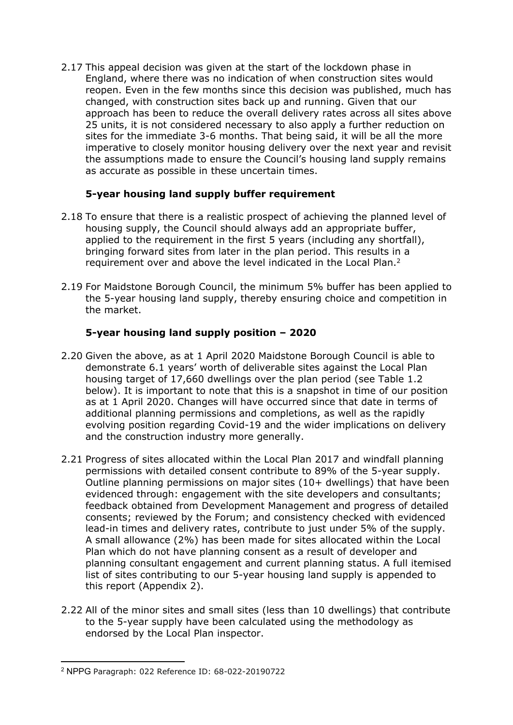2.17 This appeal decision was given at the start of the lockdown phase in England, where there was no indication of when construction sites would reopen. Even in the few months since this decision was published, much has changed, with construction sites back up and running. Given that our approach has been to reduce the overall delivery rates across all sites above 25 units, it is not considered necessary to also apply a further reduction on sites for the immediate 3-6 months. That being said, it will be all the more imperative to closely monitor housing delivery over the next year and revisit the assumptions made to ensure the Council's housing land supply remains as accurate as possible in these uncertain times.

#### **5-year housing land supply buffer requirement**

- 2.18 To ensure that there is a realistic prospect of achieving the planned level of housing supply, the Council should always add an appropriate buffer, applied to the requirement in the first 5 years (including any shortfall), bringing forward sites from later in the plan period. This results in a requirement over and above the level indicated in the Local Plan.<sup>2</sup>
- 2.19 For Maidstone Borough Council, the minimum 5% buffer has been applied to the 5-year housing land supply, thereby ensuring choice and competition in the market.

#### **5-year housing land supply position – 2020**

- 2.20 Given the above, as at 1 April 2020 Maidstone Borough Council is able to demonstrate 6.1 years' worth of deliverable sites against the Local Plan housing target of 17,660 dwellings over the plan period (see Table 1.2 below). It is important to note that this is a snapshot in time of our position as at 1 April 2020. Changes will have occurred since that date in terms of additional planning permissions and completions, as well as the rapidly evolving position regarding Covid-19 and the wider implications on delivery and the construction industry more generally.
- 2.21 Progress of sites allocated within the Local Plan 2017 and windfall planning permissions with detailed consent contribute to 89% of the 5-year supply. Outline planning permissions on major sites (10+ dwellings) that have been evidenced through: engagement with the site developers and consultants; feedback obtained from Development Management and progress of detailed consents; reviewed by the Forum; and consistency checked with evidenced lead-in times and delivery rates, contribute to just under 5% of the supply. A small allowance (2%) has been made for sites allocated within the Local Plan which do not have planning consent as a result of developer and planning consultant engagement and current planning status. A full itemised list of sites contributing to our 5-year housing land supply is appended to this report (Appendix 2).
- 2.22 All of the minor sites and small sites (less than 10 dwellings) that contribute to the 5-year supply have been calculated using the methodology as endorsed by the Local Plan inspector.

<sup>2</sup> NPPG Paragraph: 022 Reference ID: 68-022-20190722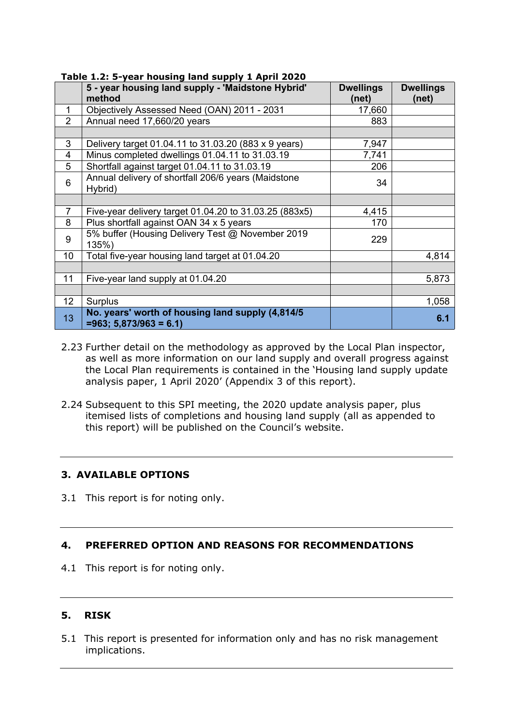|                 | 5 - year housing land supply - 'Maidstone Hybrid'<br>method                  | <b>Dwellings</b><br>(net) | <b>Dwellings</b><br>(net) |
|-----------------|------------------------------------------------------------------------------|---------------------------|---------------------------|
| 1               | Objectively Assessed Need (OAN) 2011 - 2031                                  | 17,660                    |                           |
| $\overline{2}$  | Annual need 17,660/20 years                                                  | 883                       |                           |
|                 |                                                                              |                           |                           |
| 3               | Delivery target 01.04.11 to 31.03.20 (883 x 9 years)                         | 7,947                     |                           |
| 4               | Minus completed dwellings 01.04.11 to 31.03.19                               | 7,741                     |                           |
| 5               | Shortfall against target 01.04.11 to 31.03.19                                | 206                       |                           |
| 6               | Annual delivery of shortfall 206/6 years (Maidstone<br>Hybrid)               | 34                        |                           |
|                 |                                                                              |                           |                           |
| $\overline{7}$  | Five-year delivery target 01.04.20 to 31.03.25 (883x5)                       | 4,415                     |                           |
| 8               | Plus shortfall against OAN 34 x 5 years                                      | 170                       |                           |
| 9               | 5% buffer (Housing Delivery Test @ November 2019<br>135%)                    | 229                       |                           |
| 10              | Total five-year housing land target at 01.04.20                              |                           | 4,814                     |
|                 |                                                                              |                           |                           |
| 11              | Five-year land supply at 01.04.20                                            |                           | 5,873                     |
|                 |                                                                              |                           |                           |
| 12 <sup>2</sup> | Surplus                                                                      |                           | 1,058                     |
| 13              | No. years' worth of housing land supply (4,814/5)<br>$=963; 5,873/963 = 6.1$ |                           | 6.1                       |

**Table 1.2: 5-year housing land supply 1 April 2020**

- 2.23 Further detail on the methodology as approved by the Local Plan inspector, as well as more information on our land supply and overall progress against the Local Plan requirements is contained in the 'Housing land supply update analysis paper, 1 April 2020' (Appendix 3 of this report).
- 2.24 Subsequent to this SPI meeting, the 2020 update analysis paper, plus itemised lists of completions and housing land supply (all as appended to this report) will be published on the Council's website.

#### **3. AVAILABLE OPTIONS**

3.1 This report is for noting only.

#### **4. PREFERRED OPTION AND REASONS FOR RECOMMENDATIONS**

4.1 This report is for noting only.

#### **5. RISK**

5.1 This report is presented for information only and has no risk management implications.